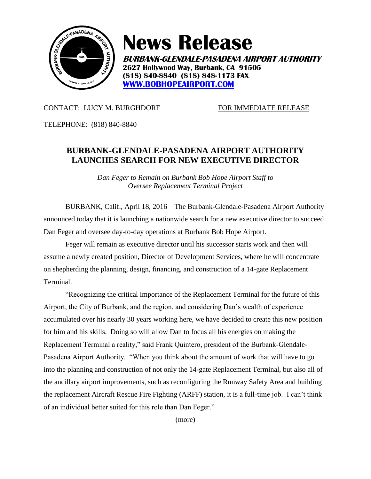

## **News Release**

**BURBANK-GLENDALE-PASADENA AIRPORT AUTHORITY 2627 Hollywood Way, Burbank, CA 91505 (818) 840-8840 (818) 848-1173 FAX [WWW.BOBHOPEAIRPORT.COM](http://www.bobhopeairport.com/)**

## CONTACT: LUCY M. BURGHDORF FOR IMMEDIATE RELEASE

TELEPHONE: (818) 840-8840

## **BURBANK-GLENDALE-PASADENA AIRPORT AUTHORITY LAUNCHES SEARCH FOR NEW EXECUTIVE DIRECTOR**

*Dan Feger to Remain on Burbank Bob Hope Airport Staff to Oversee Replacement Terminal Project*

BURBANK, Calif., April 18, 2016 – The Burbank-Glendale-Pasadena Airport Authority announced today that it is launching a nationwide search for a new executive director to succeed Dan Feger and oversee day-to-day operations at Burbank Bob Hope Airport.

Feger will remain as executive director until his successor starts work and then will assume a newly created position, Director of Development Services, where he will concentrate on shepherding the planning, design, financing, and construction of a 14-gate Replacement Terminal.

"Recognizing the critical importance of the Replacement Terminal for the future of this Airport, the City of Burbank, and the region, and considering Dan's wealth of experience accumulated over his nearly 30 years working here, we have decided to create this new position for him and his skills. Doing so will allow Dan to focus all his energies on making the Replacement Terminal a reality," said Frank Quintero, president of the Burbank-Glendale-Pasadena Airport Authority. "When you think about the amount of work that will have to go into the planning and construction of not only the 14-gate Replacement Terminal, but also all of the ancillary airport improvements, such as reconfiguring the Runway Safety Area and building the replacement Aircraft Rescue Fire Fighting (ARFF) station, it is a full-time job. I can't think of an individual better suited for this role than Dan Feger."

(more)